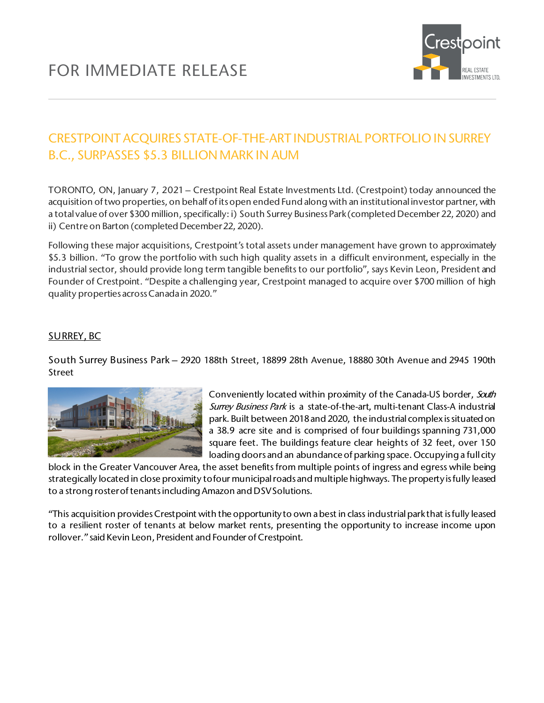

## CRESTPOINT ACQUIRES STATE-OF-THE-ART INDUSTRIAL PORTFOLIO IN SURREY B.C., SURPASSES \$5.3 BILLION MARK IN AUM

TORONTO, ON, January 7, 2021 – Crestpoint Real Estate Investments Ltd. (Crestpoint) today announced the acquisition of two properties, on behalf of its open ended Fund along with an institutional investor partner, with a total value of over \$300 million, specifically: i) South Surrey Business Park (completed December 22, 2020) and ii) Centre on Barton (completed December 22, 2020).

Following these major acquisitions, Crestpoint's total assets under management have grown to approximately \$5.3 billion. "To grow the portfolio with such high quality assets in a difficult environment, especially in the industrial sector, should provide long term tangible benefits to our portfolio", says Kevin Leon, President and Founder of Crestpoint. "Despite a challenging year, Crestpoint managed to acquire over \$700 million of high quality properties across Canada in 2020."

## SURREY, BC

South Surrey Business Park – 2920 188th Street, 18899 28th Avenue, 18880 30th Avenue and 2945 190th Street



Conveniently located within proximity of the Canada-US border, South Surrey Business Park is a state-of-the-art, multi-tenant Class-A industrial park. Built between 2018 and 2020, the industrial complex is situated on a 38.9 acre site and is comprised of four buildings spanning 731,000 square feet. The buildings feature clear heights of 32 feet, over 150 loading doors and an abundance of parking space. Occupying a full city

block in the Greater Vancouver Area, the asset benefits from multiple points of ingress and egress while being strategically located in close proximity to four municipal roads and multiple highways. The property is fully leased to a strong roster of tenants including Amazon and DSV Solutions.

"This acquisition provides Crestpoint with the opportunity to own a best in class industrial park that is fully leased to a resilient roster of tenants at below market rents, presenting the opportunity to increase income upon rollover." said Kevin Leon, President and Founder of Crestpoint.